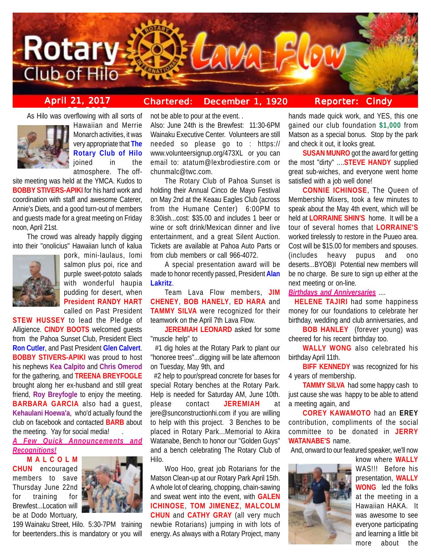

# **April 21, 2017 Chartered: December 1, 1920**

**Reporter: Cindy**

As Hilo was overflowing with all sorts of



Hawaiian and Merrie Monarch activities, it was very appropriate that **The Rotary Club of Hilo** joined in the atmosphere. The off-

site meeting was held at the YMCA. Kudos to **BOBBY STIVERS-APIKI** for his hard work and coordination with staff and awesome Caterer, Annie's Diets, and a good turn-out of members and guests made for a great meeting on Friday noon, April 21st.

The crowd was already happily digging into their "onolicius" Hawaiian lunch of kalua



pork, mini-laulaus, lomi salmon plus poi, rice and purple sweet-pototo salads with wonderful haupia pudding for desert, when **President RANDY HART** called on Past President

**STEW HUSSEY** to lead the Pledge of Alligience. **CINDY BOOTS** welcomed guests from the Pahoa Sunset Club, President Elect **Ron Cutler**, and Past President **Glen Calvert**. **BOBBY STIVERS-APIKI** was proud to host his nephews **Kea Calpito** and **Chris Omerod** for the gathering, and **TREENA BREYFOGLE** brought along her ex-husband and still great friend, **Roy Breyfogle** to enjoy the meeting. **BARBARA GARCIA** also had a guest, **Kehaulani Hoewa'a**, who'd actually found the club on facebook and contacted **BARB** about the meeting. Yay for social media!

*A Few Quick Announcements and Recognitions!*

**MALCOLM CHUN** encouraged members to save Thursday June 22nd for training for Brewfest...Location will be at Dodo Mortuary,



199 Wainaku Street, Hilo. 5:30-7PM training for beertenders..this is mandatory or you will not be able to pour at the event. .

Also: June 24th is the Brewfest: 11:30-6PM Wainaku Executive Center. Volunteers are still needed so please go to : https:// www.volunteersignup.org/473XL or you can email to: atatum@lexbrodiestire.com or chunmalc@twc.com.

The Rotary Club of Pahoa Sunset is holding their Annual Cinco de Mayo Festival on May 2nd at the Keaau Eagles Club (across from the Humane Center) 6:00PM to 8:30ish...cost: \$35.00 and includes 1 beer or wine or soft drink/Mexican dinner and live entertainment, and a great Silent Auction. Tickets are available at Pahoa Auto Parts or from club members or call 966-4072.

A special presentation award will be made to honor recently passed, President **Alan Lakritz**.

Team Lava Flow members, **JIM CHENEY**, **BOB HANELY**, **ED HARA** and **TAMMY SILVA** were recognized for their teamwork on the April 7th Lava Flow.

**JEREMIAH LEONARD** asked for some "muscle help" to

 #1 dig holes at the Rotary Park to plant our "honoree trees"...digging will be late afternoon on Tuesday, May 9th, and

 #2 help to pour/spread concrete for bases for special Rotary benches at the Rotary Park. Help is needed for Saturday AM, June 10th. please contact **JEREMIAH** at jere@sunconstructionhi.com if you are willing to help with this project. 3 Benches to be placed in Rotary Park...Memorial to Akira Watanabe, Bench to honor our "Golden Guys" and a bench celebrating The Rotary Club of Hilo.

Woo Hoo, great job Rotarians for the Matson Clean-up at our Rotary Park April 15th. A whole lot of clearing, chopping, chain-sawing and sweat went into the event, with **GALEN ICHINOSE**, **TOM JIMENEZ**, **MALCOLM CHUN** and **CATHY GRAY** (all very much newbie Rotarians) jumping in with lots of energy. As always with a Rotary Project, many hands made quick work, and YES, this one gained our club foundation **\$1,000** from Matson as a special bonus. Stop by the park and check it out, it looks great.

**SUSAN MUNRO** got the award for getting the most "dirty" ....**STEVE HANDY** supplied great sub-wiches, and everyone went home satisfied with a job well done!

**CONNIE ICHINOSE**, The Queen of Membership Mixers, took a few minutes to speak about the May 4th event, which will be held at **LORRAINE SHIN'S** home. It will be a tour of several homes that **LORRAINE'S** worked tirelessly to restore in the Puueo area. Cost will be \$15.00 for members and spouses. (includes heavy pupus and ono deserts...BYOB)I Potential new members will be no charge. Be sure to sign up either at the next meeting or on-line.

*Birthdays and Anniversaries* ....

 **HELENE TAJIRI** had some happiness money for our foundations to celebrate her birthday, wedding and club anniversaries, and

**BOB HANLEY** (forever young) was cheered for his recent birthday too.

**WALLY WONG** also celebrated his birthday April 11th.

**BIFF KENNEDY** was recognized for his 4 years of membership.

**TAMMY SILVA** had some happy cash to just cause she was happy to be able to attend a meeting again, and

**COREY KAWAMOTO** had an **EREY** contribution, compliments of the social committee to be donated in **JERRY WATANABE'S** name.

And, onward to our featured speaker, we'll now



know where **WALLY** WAS!!! Before his presentation, **WALLY WONG** led the folks at the meeting in a Hawaiian HAKA. It was awesome to see everyone participating and learning a little bit more about the